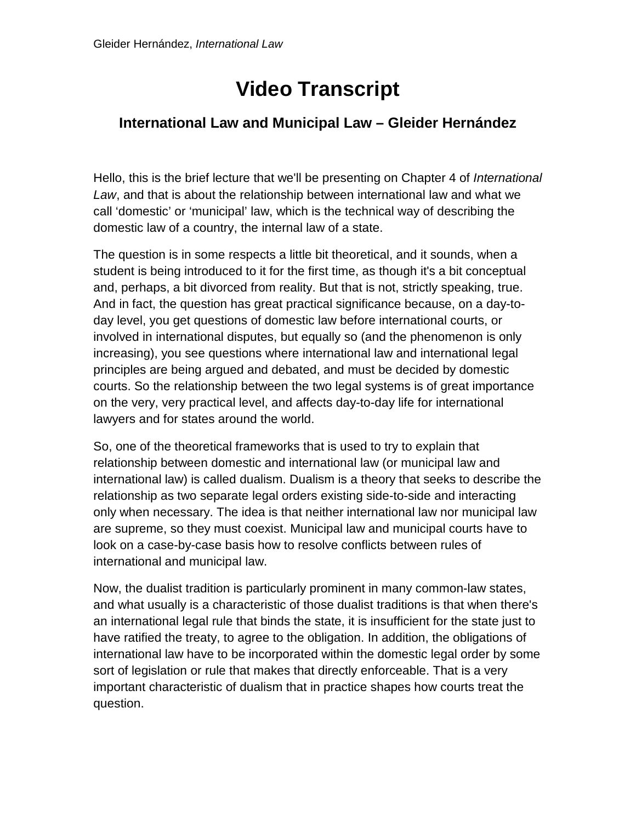## **Video Transcript**

## **International Law and Municipal Law – Gleider Hernández**

Hello, this is the brief lecture that we'll be presenting on Chapter 4 of *International Law*, and that is about the relationship between international law and what we call 'domestic' or 'municipal' law, which is the technical way of describing the domestic law of a country, the internal law of a state.

The question is in some respects a little bit theoretical, and it sounds, when a student is being introduced to it for the first time, as though it's a bit conceptual and, perhaps, a bit divorced from reality. But that is not, strictly speaking, true. And in fact, the question has great practical significance because, on a day-today level, you get questions of domestic law before international courts, or involved in international disputes, but equally so (and the phenomenon is only increasing), you see questions where international law and international legal principles are being argued and debated, and must be decided by domestic courts. So the relationship between the two legal systems is of great importance on the very, very practical level, and affects day-to-day life for international lawyers and for states around the world.

So, one of the theoretical frameworks that is used to try to explain that relationship between domestic and international law (or municipal law and international law) is called dualism. Dualism is a theory that seeks to describe the relationship as two separate legal orders existing side-to-side and interacting only when necessary. The idea is that neither international law nor municipal law are supreme, so they must coexist. Municipal law and municipal courts have to look on a case-by-case basis how to resolve conflicts between rules of international and municipal law.

Now, the dualist tradition is particularly prominent in many common-law states, and what usually is a characteristic of those dualist traditions is that when there's an international legal rule that binds the state, it is insufficient for the state just to have ratified the treaty, to agree to the obligation. In addition, the obligations of international law have to be incorporated within the domestic legal order by some sort of legislation or rule that makes that directly enforceable. That is a very important characteristic of dualism that in practice shapes how courts treat the question.